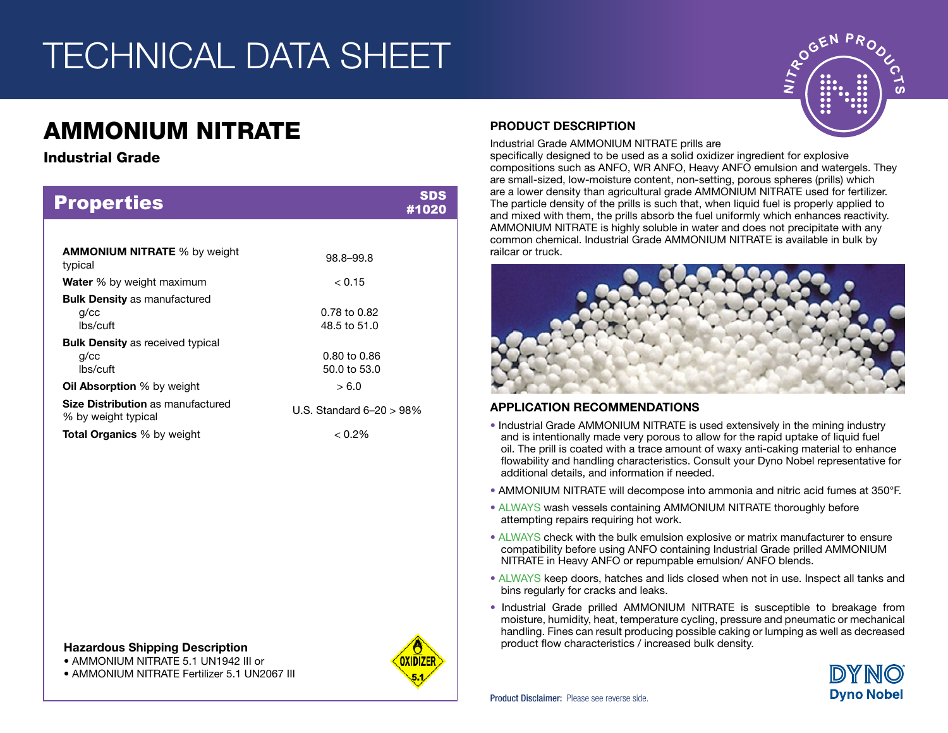# TECHNICAL DATA SHEET

# AMMONIUM NITRATE

## Industrial Grade

| <b>Properties</b>                                                 | #1020                        |
|-------------------------------------------------------------------|------------------------------|
|                                                                   |                              |
| <b>AMMONIUM NITRATE</b> % by weight<br>typical                    | 98.8-99.8                    |
| <b>Water</b> % by weight maximum                                  | < 0.15                       |
| <b>Bulk Density as manufactured</b><br>$q$ / $cc$<br>lbs/cuft     | 0.78 to 0.82<br>48.5 to 51.0 |
| <b>Bulk Density</b> as received typical<br>$q$ / $cc$<br>lbs/cuft | 0.80 to 0.86<br>50.0 to 53.0 |
| <b>Oil Absorption</b> % by weight                                 | > 6.0                        |
| <b>Size Distribution as manufactured</b><br>% by weight typical   | U.S. Standard $6-20 > 98\%$  |
| <b>Total Organics</b> % by weight                                 | $< 0.2\%$                    |

#### Hazardous Shipping Description

• AMMONIUM NITRATE 5.1 UN1942 III or

• AMMONIUM NITRATE Fertilizer 5.1 UN2067 III



### PRODUCT DESCRIPTION

Industrial Grade AMMONIUM NITRATE prills are

specifically designed to be used as a solid oxidizer ingredient for explosive compositions such as ANFO, WR ANFO, Heavy ANFO emulsion and watergels. They are small-sized, low-moisture content, non-setting, porous spheres (prills) which are a lower density than agricultural grade AMMONIUM NITRATE used for fertilizer. The particle density of the prills is such that, when liquid fuel is properly applied to and mixed with them, the prills absorb the fuel uniformly which enhances reactivity. AMMONIUM NITRATE is highly soluble in water and does not precipitate with any common chemical. Industrial Grade AMMONIUM NITRATE is available in bulk by railcar or truck.



#### APPLICATION RECOMMENDATIONS

- Industrial Grade AMMONIUM NITRATE is used extensively in the mining industry and is intentionally made very porous to allow for the rapid uptake of liquid fuel oil. The prill is coated with a trace amount of waxy anti-caking material to enhance flowability and handling characteristics. Consult your Dyno Nobel representative for additional details, and information if needed.
- AMMONIUM NITRATE will decompose into ammonia and nitric acid fumes at 350°F.
- ALWAYS wash vessels containing AMMONIUM NITRATE thoroughly before attempting repairs requiring hot work.
- ALWAYS check with the bulk emulsion explosive or matrix manufacturer to ensure compatibility before using ANFO containing Industrial Grade prilled AMMONIUM NITRATE in Heavy ANFO or repumpable emulsion/ ANFO blends.
- ALWAYS keep doors, hatches and lids closed when not in use. Inspect all tanks and bins regularly for cracks and leaks.
- Industrial Grade prilled AMMONIUM NITRATE is susceptible to breakage from moisture, humidity, heat, temperature cycling, pressure and pneumatic or mechanical handling. Fines can result producing possible caking or lumping as well as decreased product flow characteristics / increased bulk density.



GEN PROO

ഗ